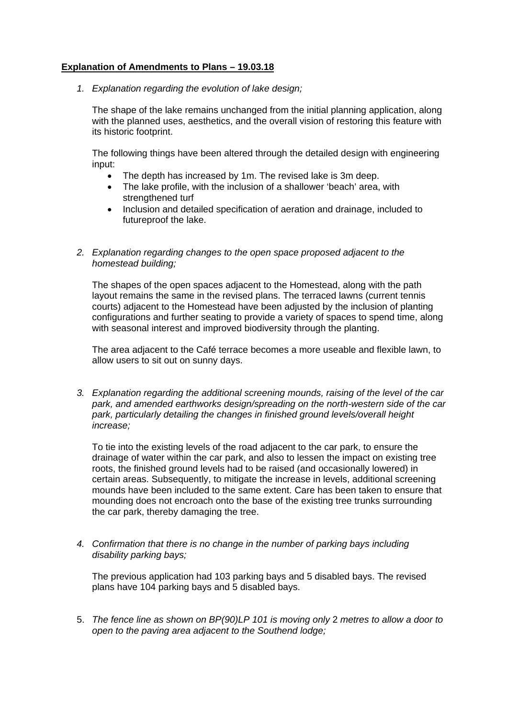## **Explanation of Amendments to Plans – 19.03.18**

*1. Explanation regarding the evolution of lake design;* 

The shape of the lake remains unchanged from the initial planning application, along with the planned uses, aesthetics, and the overall vision of restoring this feature with its historic footprint.

The following things have been altered through the detailed design with engineering input:

- The depth has increased by 1m. The revised lake is 3m deep.
- The lake profile, with the inclusion of a shallower 'beach' area, with strengthened turf
- Inclusion and detailed specification of aeration and drainage, included to futureproof the lake.
- *2. Explanation regarding changes to the open space proposed adjacent to the homestead building;*

The shapes of the open spaces adjacent to the Homestead, along with the path layout remains the same in the revised plans. The terraced lawns (current tennis courts) adjacent to the Homestead have been adjusted by the inclusion of planting configurations and further seating to provide a variety of spaces to spend time, along with seasonal interest and improved biodiversity through the planting.

The area adjacent to the Café terrace becomes a more useable and flexible lawn, to allow users to sit out on sunny days.

*3. Explanation regarding the additional screening mounds, raising of the level of the car park, and amended earthworks design/spreading on the north-western side of the car park, particularly detailing the changes in finished ground levels/overall height increase;* 

To tie into the existing levels of the road adjacent to the car park, to ensure the drainage of water within the car park, and also to lessen the impact on existing tree roots, the finished ground levels had to be raised (and occasionally lowered) in certain areas. Subsequently, to mitigate the increase in levels, additional screening mounds have been included to the same extent. Care has been taken to ensure that mounding does not encroach onto the base of the existing tree trunks surrounding the car park, thereby damaging the tree.

*4. Confirmation that there is no change in the number of parking bays including disability parking bays;* 

The previous application had 103 parking bays and 5 disabled bays. The revised plans have 104 parking bays and 5 disabled bays.

5. *The fence line as shown on BP(90)LP 101 is moving only* 2 *metres to allow a door to open to the paving area adjacent to the Southend lodge;*